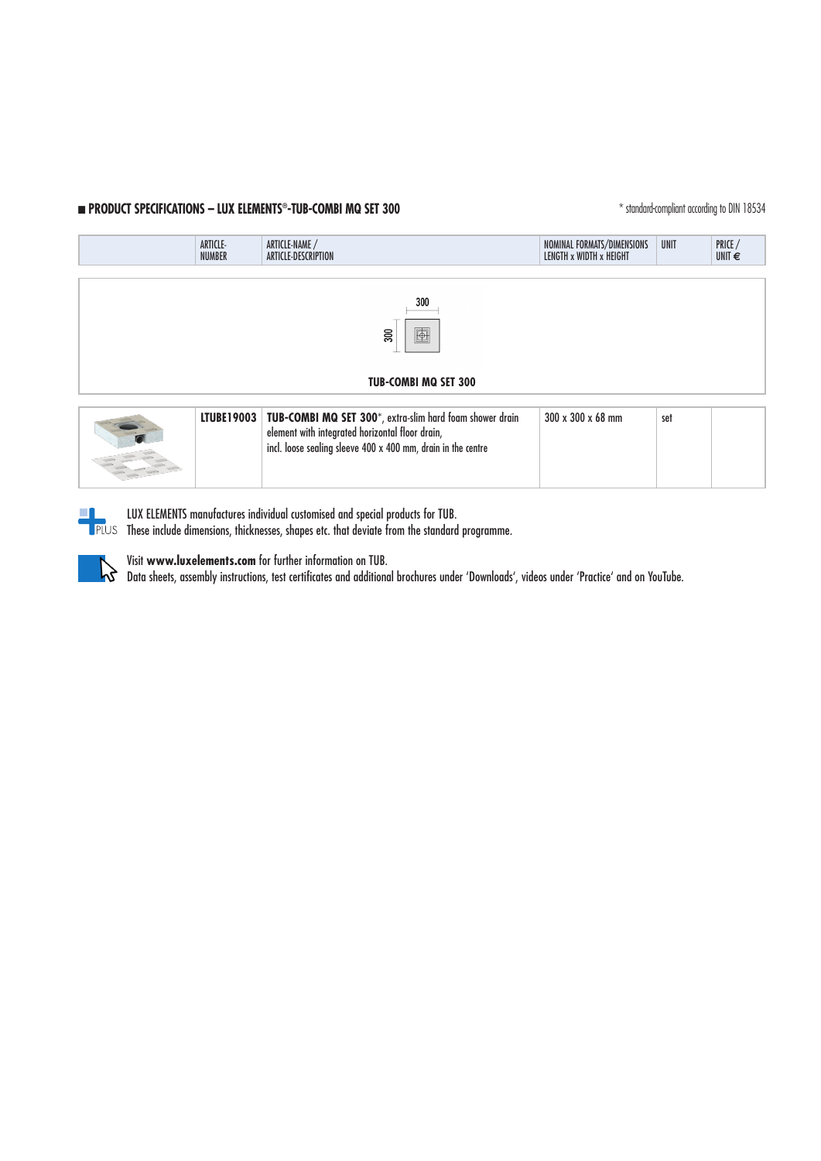# **n PRODUCT SPECIFICATIONS – LUX ELEMENTS®-TUB-COMBI MQ SET 300** \* standard-compliant according to DIN 18534

|                                                                                                                                                                                                                                                    | ARTICLE-<br><b>NUMBER</b> | ARTICLE-NAME /<br>ARTICLE-DESCRIPTION | NOMINAL FORMATS/DIMENSIONS<br>LENGTH x WIDTH x HEIGHT | UNIT | PRICE /<br>UNIT $\epsilon$ |  |
|----------------------------------------------------------------------------------------------------------------------------------------------------------------------------------------------------------------------------------------------------|---------------------------|---------------------------------------|-------------------------------------------------------|------|----------------------------|--|
|                                                                                                                                                                                                                                                    |                           |                                       |                                                       |      |                            |  |
| 300                                                                                                                                                                                                                                                |                           |                                       |                                                       |      |                            |  |
| $\blacksquare$<br>$\overline{\phantom{0}}300$                                                                                                                                                                                                      |                           |                                       |                                                       |      |                            |  |
|                                                                                                                                                                                                                                                    |                           |                                       |                                                       |      |                            |  |
| <b>TUB-COMBI MQ SET 300</b>                                                                                                                                                                                                                        |                           |                                       |                                                       |      |                            |  |
| $\frac{1}{2}$ . The second contract of the second contract of the second contract of the second contract of the second contract of the second contract of the second contract of the second contract of the second contract of th<br>0.00000000000 |                           |                                       |                                                       |      |                            |  |





LUX ELEMENTS manufactures individual customised and special products for TUB.

**THES These include dimensions, thicknesses, shapes etc. that deviate from the standard programme.** 



Visit **www.luxelements.com** for further information on TUB. Data sheets, assembly instructions, test certificates and additional brochures under 'Downloads', videos under 'Practice' and on YouTube.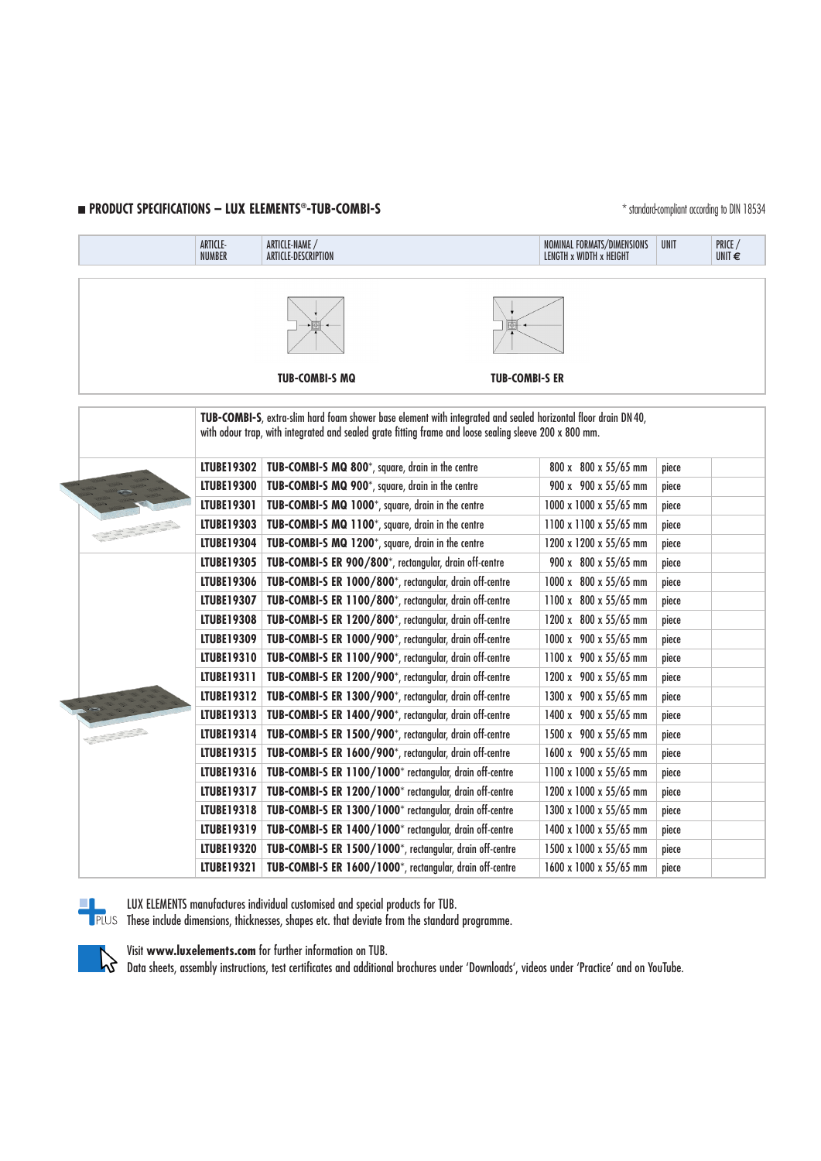### **n PRODUCT SPECIFICATIONS – LUX ELEMENTS<sup>®</sup>-TUB-COMBI-S Examples to the standard-compliant according to DIN 18534**

|                                                                                                                                                                                                                          | ARTICLE-<br><b>NUMBER</b> | ARTICLE-NAME /<br>ARTICLE-DESCRIPTION                    | NOMINAL FORMATS/DIMENSIONS<br>LENGTH x WIDTH x HEIGHT | UNIT  | PRICE /<br>UNIT $\epsilon$ |  |
|--------------------------------------------------------------------------------------------------------------------------------------------------------------------------------------------------------------------------|---------------------------|----------------------------------------------------------|-------------------------------------------------------|-------|----------------------------|--|
|                                                                                                                                                                                                                          |                           | <b>TUB-COMBI-S MQ</b>                                    | <b>TUB-COMBI-S ER</b>                                 |       |                            |  |
| TUB-COMBI-S, extra-slim hard foam shower base element with integrated and sealed horizontal floor drain DN 40,<br>with odour trap, with integrated and sealed grate fitting frame and loose sealing sleeve 200 x 800 mm. |                           |                                                          |                                                       |       |                            |  |
|                                                                                                                                                                                                                          | <b>LTUBE19302</b>         | TUB-COMBI-S MQ 800*, square, drain in the centre         | 800 x 800 x 55/65 mm                                  | piece |                            |  |
|                                                                                                                                                                                                                          | <b>LTUBE19300</b>         | TUB-COMBI-S MQ 900*, square, drain in the centre         | 900 x 900 x 55/65 mm                                  | piece |                            |  |
|                                                                                                                                                                                                                          | LTUBE19301                | TUB-COMBI-S MQ 1000*, square, drain in the centre        | 1000 x 1000 x 55/65 mm                                | piece |                            |  |
|                                                                                                                                                                                                                          | <b>LTUBE19303</b>         | TUB-COMBI-S MQ 1100*, square, drain in the centre        | 1100 x 1100 x 55/65 mm                                | piece |                            |  |
|                                                                                                                                                                                                                          | <b>LTUBE19304</b>         | TUB-COMBI-S MQ 1200*, square, drain in the centre        | 1200 x 1200 x 55/65 mm                                | piece |                            |  |
|                                                                                                                                                                                                                          | <b>LTUBE19305</b>         | TUB-COMBI-S ER 900/800*, rectangular, drain off-centre   | 900 x 800 x 55/65 mm                                  | piece |                            |  |
|                                                                                                                                                                                                                          | <b>LTUBE19306</b>         | TUB-COMBI-S ER 1000/800*, rectangular, drain off-centre  | 1000 x 800 x 55/65 mm                                 | piece |                            |  |
|                                                                                                                                                                                                                          | <b>LTUBE19307</b>         | TUB-COMBI-S ER 1100/800*, rectangular, drain off-centre  | 1100 x 800 x 55/65 mm                                 | piece |                            |  |
|                                                                                                                                                                                                                          | <b>LTUBE19308</b>         | TUB-COMBI-S ER 1200/800*, rectangular, drain off-centre  | 1200 x 800 x 55/65 mm                                 | piece |                            |  |
|                                                                                                                                                                                                                          | <b>LTUBE19309</b>         | TUB-COMBI-S ER 1000/900*, rectangular, drain off-centre  | 1000 x 900 x 55/65 mm                                 | piece |                            |  |
|                                                                                                                                                                                                                          | LTUBE19310                | TUB-COMBI-S ER 1100/900*, rectangular, drain off-centre  | 1100 x 900 x 55/65 mm                                 | piece |                            |  |
|                                                                                                                                                                                                                          | LTUBE19311                | TUB-COMBI-S ER 1200/900*, rectangular, drain off-centre  | 1200 x 900 x 55/65 mm                                 | piece |                            |  |
|                                                                                                                                                                                                                          | <b>LTUBE19312</b>         | TUB-COMBI-S ER 1300/900*, rectangular, drain off-centre  | 1300 x 900 x 55/65 mm                                 | piece |                            |  |
|                                                                                                                                                                                                                          | LTUBE19313                | TUB-COMBI-S ER 1400/900*, rectangular, drain off-centre  | 1400 x 900 x 55/65 mm                                 | piece |                            |  |
|                                                                                                                                                                                                                          | LTUBE19314                | TUB-COMBI-S ER 1500/900*, rectangular, drain off-centre  | 1500 x 900 x 55/65 mm                                 | piece |                            |  |
|                                                                                                                                                                                                                          | LTUBE19315                | TUB-COMBI-S ER 1600/900*, rectangular, drain off-centre  | 1600 x 900 x 55/65 mm                                 | piece |                            |  |
|                                                                                                                                                                                                                          | LTUBE19316                | TUB-COMBI-S ER 1100/1000* rectangular, drain off-centre  | 1100 x 1000 x 55/65 mm                                | piece |                            |  |
|                                                                                                                                                                                                                          | LTUBE19317                | TUB-COMBI-S ER 1200/1000* rectangular, drain off-centre  | 1200 x 1000 x 55/65 mm                                | piece |                            |  |
|                                                                                                                                                                                                                          | LTUBE19318                | TUB-COMBI-S ER 1300/1000* rectangular, drain off-centre  | 1300 x 1000 x 55/65 mm                                | piece |                            |  |
|                                                                                                                                                                                                                          | LTUBE19319                | TUB-COMBI-S ER 1400/1000* rectangular, drain off-centre  | 1400 x 1000 x 55/65 mm                                | piece |                            |  |
|                                                                                                                                                                                                                          | <b>LTUBE19320</b>         | TUB-COMBI-S ER 1500/1000*, rectangular, drain off-centre | 1500 x 1000 x 55/65 mm                                | piece |                            |  |
|                                                                                                                                                                                                                          | LTUBE19321                | TUB-COMBI-S ER 1600/1000*, rectangular, drain off-centre | 1600 x 1000 x 55/65 mm                                | piece |                            |  |

LUX ELEMENTS manufactures individual customised and special products for TUB.

These include dimensions, thicknesses, shapes etc. that deviate from the standard programme.



Visit **www.luxelements.com** for further information on TUB. Data sheets, assembly instructions, test certificates and additional brochures under 'Downloads', videos under 'Practice' and on YouTube.